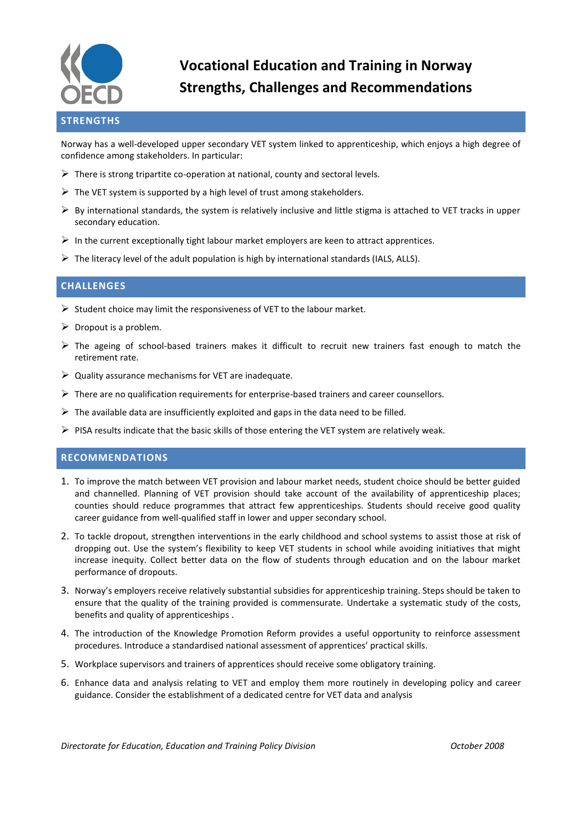

# **Vocational Education and Training in Norway Strengths, Challenges and Recommendations**

## **STRENGTHS**

Norway has a well-developed upper secondary VET system linked to apprenticeship, which enjoys a high degree of confidence among stakeholders. In particular:

- $\triangleright$  There is strong tripartite co-operation at national, county and sectoral levels.
- $\triangleright$  The VET system is supported by a high level of trust among stakeholders.
- $\triangleright$  By international standards, the system is relatively inclusive and little stigma is attached to VET tracks in upper secondary education.
- $\triangleright$  In the current exceptionally tight labour market employers are keen to attract apprentices.
- $\triangleright$  The literacy level of the adult population is high by international standards (IALS, ALLS).

#### **CHALLENGES**

- $\triangleright$  Student choice may limit the responsiveness of VET to the labour market.
- $\triangleright$  Dropout is a problem.
- $\triangleright$  The ageing of school-based trainers makes it difficult to recruit new trainers fast enough to match the retirement rate.
- $\triangleright$  Quality assurance mechanisms for VET are inadequate.
- $\triangleright$  There are no qualification requirements for enterprise-based trainers and career counsellors.
- $\triangleright$  The available data are insufficiently exploited and gaps in the data need to be filled.
- $\triangleright$  PISA results indicate that the basic skills of those entering the VET system are relatively weak.

#### **RECOMMENDATIONS**

- 1. To improve the match between VET provision and labour market needs, student choice should be better guided and channelled. Planning of VET provision should take account of the availability of apprenticeship places; counties should reduce programmes that attract few apprenticeships. Students should receive good quality career guidance from well-qualified staff in lower and upper secondary school.
- 2. To tackle dropout, strengthen interventions in the early childhood and school systems to assist those at risk of dropping out. Use the system's flexibility to keep VET students in school while avoiding initiatives that might increase inequity. Collect better data on the flow of students through education and on the labour market performance of dropouts.
- 3. Norway's employers receive relatively substantial subsidies for apprenticeship training. Steps should be taken to ensure that the quality of the training provided is commensurate. Undertake a systematic study of the costs, benefits and quality of apprenticeships .
- 4. The introduction of the Knowledge Promotion Reform provides a useful opportunity to reinforce assessment procedures. Introduce a standardised national assessment of apprentices' practical skills.
- 5. Workplace supervisors and trainers of apprentices should receive some obligatory training.
- 6. Enhance data and analysis relating to VET and employ them more routinely in developing policy and career guidance. Consider the establishment of a dedicated centre for VET data and analysis